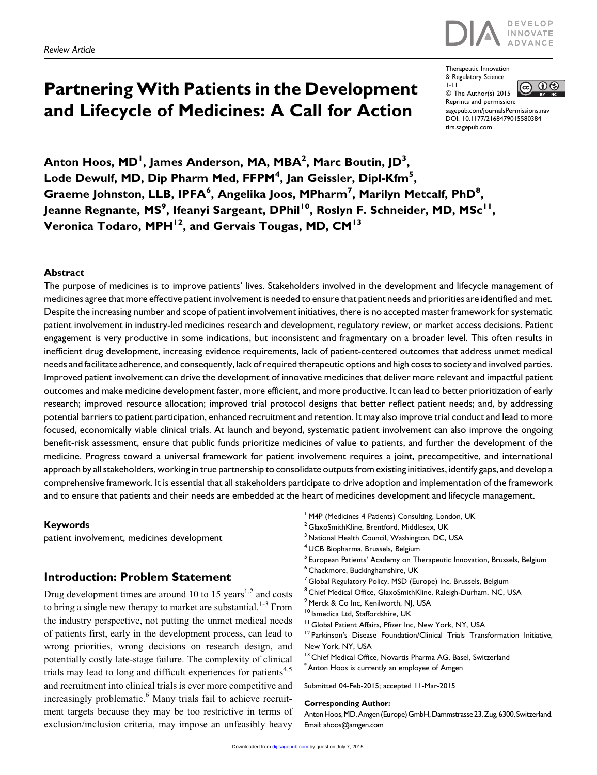# Partnering With Patients in the Development and Lifecycle of Medicines: A Call for Action



Therapeutic Innovation & Regulatory Science 1-11 © The Author(s) 2015



Reprints and permission: [sagepub.com/journalsPermissions.nav](http://www.sagepub.com/journalsPermissions.nav) DOI: 10.1177/2168479015580384 [tirs.sagepub.com](http://tirs.sagepub.com)

Anton Hoos, MD<sup>I</sup>, James Anderson, MA, MBA $^2$ , Marc Boutin, JD $^3\!$ Lode Dewulf, MD, Dip Pharm Med, FFPM<sup>4</sup>, Jan Geissler, Dipl-Kfm<sup>5</sup>, Graeme Johnston, LLB, IPFA $^6$ , Angelika Joos, MPharm $^7$ , Marilyn Metcalf, PhD $^8\!$ , Jeanne Regnante, MS<sup>9</sup>, Ifeanyi Sargeant, DPhil<sup>10</sup>, Roslyn F. Schneider, MD, MSc<sup>11</sup>, Veronica Todaro, MPH<sup>12</sup>, and Gervais Tougas, MD, CM<sup>13</sup>

## Abstract

The purpose of medicines is to improve patients' lives. Stakeholders involved in the development and lifecycle management of medicines agree that more effective patient involvement is needed to ensure that patient needs and priorities are identified and met. Despite the increasing number and scope of patient involvement initiatives, there is no accepted master framework for systematic patient involvement in industry-led medicines research and development, regulatory review, or market access decisions. Patient engagement is very productive in some indications, but inconsistent and fragmentary on a broader level. This often results in inefficient drug development, increasing evidence requirements, lack of patient-centered outcomes that address unmet medical needs and facilitate adherence, and consequently, lack of required therapeutic options and high costs to society and involved parties. Improved patient involvement can drive the development of innovative medicines that deliver more relevant and impactful patient outcomes and make medicine development faster, more efficient, and more productive. It can lead to better prioritization of early research; improved resource allocation; improved trial protocol designs that better reflect patient needs; and, by addressing potential barriers to patient participation, enhanced recruitment and retention. It may also improve trial conduct and lead to more focused, economically viable clinical trials. At launch and beyond, systematic patient involvement can also improve the ongoing benefit-risk assessment, ensure that public funds prioritize medicines of value to patients, and further the development of the medicine. Progress toward a universal framework for patient involvement requires a joint, precompetitive, and international approach by all stakeholders, working in true partnership to consolidate outputs from existing initiatives, identify gaps, and develop a comprehensive framework. It is essential that all stakeholders participate to drive adoption and implementation of the framework and to ensure that patients and their needs are embedded at the heart of medicines development and lifecycle management.

## Keywords

patient involvement, medicines development

# Introduction: Problem Statement

Drug development times are around 10 to 15 years<sup>1,2</sup> and costs to bring a single new therapy to market are substantial.<sup>1-3</sup> From the industry perspective, not putting the unmet medical needs of patients first, early in the development process, can lead to wrong priorities, wrong decisions on research design, and potentially costly late-stage failure. The complexity of clinical trials may lead to long and difficult experiences for patients<sup>4,5</sup> and recruitment into clinical trials is ever more competitive and increasingly problematic. $<sup>6</sup>$  Many trials fail to achieve recruit-</sup> ment targets because they may be too restrictive in terms of exclusion/inclusion criteria, may impose an unfeasibly heavy

- <sup>1</sup> M4P (Medicines 4 Patients) Consulting, London, UK
- <sup>2</sup> GlaxoSmithKline, Brentford, Middlesex, UK
- <sup>3</sup> National Health Council, Washington, DC, USA
- <sup>4</sup> UCB Biopharma, Brussels, Belgium
- <sup>5</sup> European Patients' Academy on Therapeutic Innovation, Brussels, Belgium
- <sup>6</sup> Chackmore, Buckinghamshire, UK
- <sup>7</sup> Global Regulatory Policy, MSD (Europe) Inc, Brussels, Belgium
- <sup>8</sup> Chief Medical Office, GlaxoSmithKline, Raleigh-Durham, NC, USA
- <sup>9</sup> Merck & Co Inc, Kenilworth, NJ, USA
- <sup>10</sup> Ismedica Ltd, Staffordshire, UK
- <sup>11</sup> Global Patient Affairs, Pfizer Inc, New York, NY, USA
- <sup>12</sup> Parkinson's Disease Foundation/Clinical Trials Transformation Initiative, New York, NY, USA
- <sup>13</sup> Chief Medical Office, Novartis Pharma AG, Basel, Switzerland  $^\ast$ Anton Hoos is currently an employee of Amgen

Submitted 04-Feb-2015; accepted 11-Mar-2015

#### Corresponding Author:

Anton Hoos, MD, Amgen (Europe) GmbH, Dammstrasse 23, Zug, 6300, Switzerland. Email: ahoos@amgen.com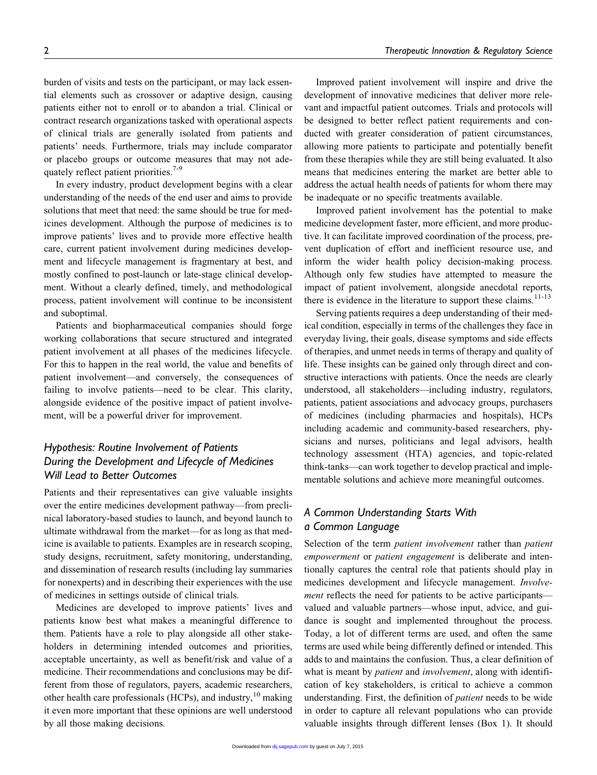burden of visits and tests on the participant, or may lack essential elements such as crossover or adaptive design, causing patients either not to enroll or to abandon a trial. Clinical or contract research organizations tasked with operational aspects of clinical trials are generally isolated from patients and patients' needs. Furthermore, trials may include comparator or placebo groups or outcome measures that may not adequately reflect patient priorities.<sup>7-9</sup>

In every industry, product development begins with a clear understanding of the needs of the end user and aims to provide solutions that meet that need: the same should be true for medicines development. Although the purpose of medicines is to improve patients' lives and to provide more effective health care, current patient involvement during medicines development and lifecycle management is fragmentary at best, and mostly confined to post-launch or late-stage clinical development. Without a clearly defined, timely, and methodological process, patient involvement will continue to be inconsistent and suboptimal.

Patients and biopharmaceutical companies should forge working collaborations that secure structured and integrated patient involvement at all phases of the medicines lifecycle. For this to happen in the real world, the value and benefits of patient involvement—and conversely, the consequences of failing to involve patients—need to be clear. This clarity, alongside evidence of the positive impact of patient involvement, will be a powerful driver for improvement.

# Hypothesis: Routine Involvement of Patients During the Development and Lifecycle of Medicines Will Lead to Better Outcomes

Patients and their representatives can give valuable insights over the entire medicines development pathway—from preclinical laboratory-based studies to launch, and beyond launch to ultimate withdrawal from the market—for as long as that medicine is available to patients. Examples are in research scoping, study designs, recruitment, safety monitoring, understanding, and dissemination of research results (including lay summaries for nonexperts) and in describing their experiences with the use of medicines in settings outside of clinical trials.

Medicines are developed to improve patients' lives and patients know best what makes a meaningful difference to them. Patients have a role to play alongside all other stakeholders in determining intended outcomes and priorities, acceptable uncertainty, as well as benefit/risk and value of a medicine. Their recommendations and conclusions may be different from those of regulators, payers, academic researchers, other health care professionals (HCPs), and industry,  $10$  making it even more important that these opinions are well understood by all those making decisions.

Improved patient involvement will inspire and drive the development of innovative medicines that deliver more relevant and impactful patient outcomes. Trials and protocols will be designed to better reflect patient requirements and conducted with greater consideration of patient circumstances, allowing more patients to participate and potentially benefit from these therapies while they are still being evaluated. It also means that medicines entering the market are better able to address the actual health needs of patients for whom there may be inadequate or no specific treatments available.

Improved patient involvement has the potential to make medicine development faster, more efficient, and more productive. It can facilitate improved coordination of the process, prevent duplication of effort and inefficient resource use, and inform the wider health policy decision-making process. Although only few studies have attempted to measure the impact of patient involvement, alongside anecdotal reports, there is evidence in the literature to support these claims.<sup>11-13</sup>

Serving patients requires a deep understanding of their medical condition, especially in terms of the challenges they face in everyday living, their goals, disease symptoms and side effects of therapies, and unmet needs in terms of therapy and quality of life. These insights can be gained only through direct and constructive interactions with patients. Once the needs are clearly understood, all stakeholders—including industry, regulators, patients, patient associations and advocacy groups, purchasers of medicines (including pharmacies and hospitals), HCPs including academic and community-based researchers, physicians and nurses, politicians and legal advisors, health technology assessment (HTA) agencies, and topic-related think-tanks—can work together to develop practical and implementable solutions and achieve more meaningful outcomes.

# A Common Understanding Starts With a Common Language

Selection of the term *patient involvement* rather than *patient* empowerment or patient engagement is deliberate and intentionally captures the central role that patients should play in medicines development and lifecycle management. Involvement reflects the need for patients to be active participants valued and valuable partners—whose input, advice, and guidance is sought and implemented throughout the process. Today, a lot of different terms are used, and often the same terms are used while being differently defined or intended. This adds to and maintains the confusion. Thus, a clear definition of what is meant by *patient* and *involvement*, along with identification of key stakeholders, is critical to achieve a common understanding. First, the definition of patient needs to be wide in order to capture all relevant populations who can provide valuable insights through different lenses (Box 1). It should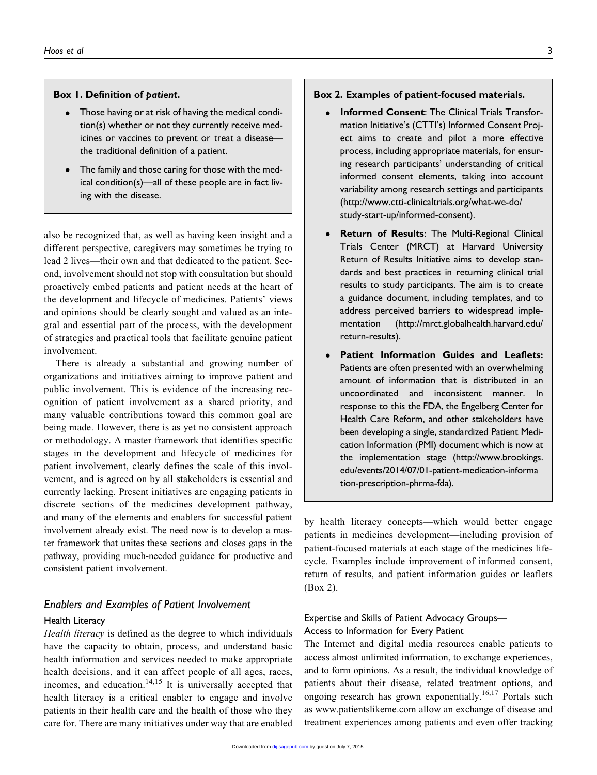## Box 1. Definition of patient.

- Those having or at risk of having the medical condition(s) whether or not they currently receive medicines or vaccines to prevent or treat a disease the traditional definition of a patient.
- The family and those caring for those with the medical condition(s)—all of these people are in fact living with the disease.

also be recognized that, as well as having keen insight and a different perspective, caregivers may sometimes be trying to lead 2 lives—their own and that dedicated to the patient. Second, involvement should not stop with consultation but should proactively embed patients and patient needs at the heart of the development and lifecycle of medicines. Patients' views and opinions should be clearly sought and valued as an integral and essential part of the process, with the development of strategies and practical tools that facilitate genuine patient involvement.

There is already a substantial and growing number of organizations and initiatives aiming to improve patient and public involvement. This is evidence of the increasing recognition of patient involvement as a shared priority, and many valuable contributions toward this common goal are being made. However, there is as yet no consistent approach or methodology. A master framework that identifies specific stages in the development and lifecycle of medicines for patient involvement, clearly defines the scale of this involvement, and is agreed on by all stakeholders is essential and currently lacking. Present initiatives are engaging patients in discrete sections of the medicines development pathway, and many of the elements and enablers for successful patient involvement already exist. The need now is to develop a master framework that unites these sections and closes gaps in the pathway, providing much-needed guidance for productive and consistent patient involvement.

## Enablers and Examples of Patient Involvement

## Health Literacy

Health literacy is defined as the degree to which individuals have the capacity to obtain, process, and understand basic health information and services needed to make appropriate health decisions, and it can affect people of all ages, races, incomes, and education. $14,15$  It is universally accepted that health literacy is a critical enabler to engage and involve patients in their health care and the health of those who they care for. There are many initiatives under way that are enabled

## Box 2. Examples of patient-focused materials.

- $\bullet$  Informed Consent: The Clinical Trials Transformation Initiative's (CTTI's) Informed Consent Project aims to create and pilot a more effective process, including appropriate materials, for ensuring research participants' understanding of critical informed consent elements, taking into account variability among research settings and participants (http://www.ctti-clinicaltrials.org/what-we-do/ study-start-up/informed-consent).
- $\bullet$  Return of Results: The Multi-Regional Clinical Trials Center (MRCT) at Harvard University Return of Results Initiative aims to develop standards and best practices in returning clinical trial results to study participants. The aim is to create a guidance document, including templates, and to address perceived barriers to widespread implementation (http://mrct.globalhealth.harvard.edu/ return-results).
- $\bullet$  Patient Information Guides and Leaflets: Patients are often presented with an overwhelming amount of information that is distributed in an uncoordinated and inconsistent manner. In response to this the FDA, the Engelberg Center for Health Care Reform, and other stakeholders have been developing a single, standardized Patient Medication Information (PMI) document which is now at the implementation stage ([http://www.brookings.](http://www.brookings.edu/events/2014/07/01-patient-medication-information-prescription-phrma-fda) [edu/events/2014/07/01-patient-medication-informa](http://www.brookings.edu/events/2014/07/01-patient-medication-information-prescription-phrma-fda) [tion-prescription-phrma-fda](http://www.brookings.edu/events/2014/07/01-patient-medication-information-prescription-phrma-fda)).

by health literacy concepts—which would better engage patients in medicines development—including provision of patient-focused materials at each stage of the medicines lifecycle. Examples include improvement of informed consent, return of results, and patient information guides or leaflets (Box 2).

# Expertise and Skills of Patient Advocacy Groups— Access to Information for Every Patient

The Internet and digital media resources enable patients to access almost unlimited information, to exchange experiences, and to form opinions. As a result, the individual knowledge of patients about their disease, related treatment options, and ongoing research has grown exponentially.<sup>16,17</sup> Portals such as [www.patientslikeme.com](http://www.patientslikeme.com) allow an exchange of disease and treatment experiences among patients and even offer tracking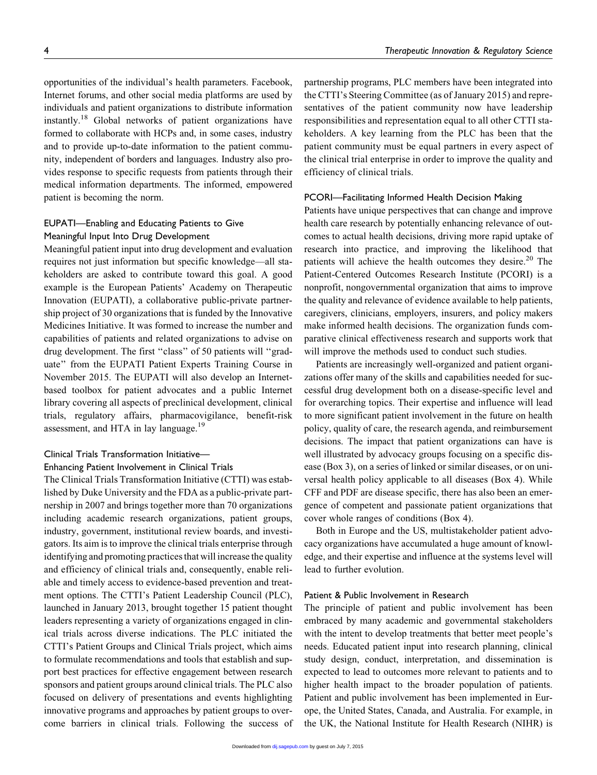opportunities of the individual's health parameters. Facebook, Internet forums, and other social media platforms are used by individuals and patient organizations to distribute information instantly.<sup>18</sup> Global networks of patient organizations have formed to collaborate with HCPs and, in some cases, industry and to provide up-to-date information to the patient community, independent of borders and languages. Industry also provides response to specific requests from patients through their medical information departments. The informed, empowered patient is becoming the norm.

# EUPATI—Enabling and Educating Patients to Give Meaningful Input Into Drug Development

Meaningful patient input into drug development and evaluation requires not just information but specific knowledge—all stakeholders are asked to contribute toward this goal. A good example is the European Patients' Academy on Therapeutic Innovation (EUPATI), a collaborative public-private partnership project of 30 organizations that is funded by the Innovative Medicines Initiative. It was formed to increase the number and capabilities of patients and related organizations to advise on drug development. The first ''class'' of 50 patients will ''graduate'' from the EUPATI Patient Experts Training Course in November 2015. The EUPATI will also develop an Internetbased toolbox for patient advocates and a public Internet library covering all aspects of preclinical development, clinical trials, regulatory affairs, pharmacovigilance, benefit-risk assessment, and HTA in lay language.<sup>19</sup>

# Clinical Trials Transformation Initiative—

## Enhancing Patient Involvement in Clinical Trials

The Clinical Trials Transformation Initiative (CTTI) was established by Duke University and the FDA as a public-private partnership in 2007 and brings together more than 70 organizations including academic research organizations, patient groups, industry, government, institutional review boards, and investigators. Its aim is to improve the clinical trials enterprise through identifying and promoting practices that will increase the quality and efficiency of clinical trials and, consequently, enable reliable and timely access to evidence-based prevention and treatment options. The CTTI's Patient Leadership Council (PLC), launched in January 2013, brought together 15 patient thought leaders representing a variety of organizations engaged in clinical trials across diverse indications. The PLC initiated the CTTI's Patient Groups and Clinical Trials project, which aims to formulate recommendations and tools that establish and support best practices for effective engagement between research sponsors and patient groups around clinical trials. The PLC also focused on delivery of presentations and events highlighting innovative programs and approaches by patient groups to overcome barriers in clinical trials. Following the success of partnership programs, PLC members have been integrated into the CTTI's Steering Committee (as of January 2015) and representatives of the patient community now have leadership responsibilities and representation equal to all other CTTI stakeholders. A key learning from the PLC has been that the patient community must be equal partners in every aspect of the clinical trial enterprise in order to improve the quality and efficiency of clinical trials.

#### PCORI—Facilitating Informed Health Decision Making

Patients have unique perspectives that can change and improve health care research by potentially enhancing relevance of outcomes to actual health decisions, driving more rapid uptake of research into practice, and improving the likelihood that patients will achieve the health outcomes they desire.<sup>20</sup> The Patient-Centered Outcomes Research Institute (PCORI) is a nonprofit, nongovernmental organization that aims to improve the quality and relevance of evidence available to help patients, caregivers, clinicians, employers, insurers, and policy makers make informed health decisions. The organization funds comparative clinical effectiveness research and supports work that will improve the methods used to conduct such studies.

Patients are increasingly well-organized and patient organizations offer many of the skills and capabilities needed for successful drug development both on a disease-specific level and for overarching topics. Their expertise and influence will lead to more significant patient involvement in the future on health policy, quality of care, the research agenda, and reimbursement decisions. The impact that patient organizations can have is well illustrated by advocacy groups focusing on a specific disease (Box 3), on a series of linked or similar diseases, or on universal health policy applicable to all diseases (Box 4). While CFF and PDF are disease specific, there has also been an emergence of competent and passionate patient organizations that cover whole ranges of conditions (Box 4).

Both in Europe and the US, multistakeholder patient advocacy organizations have accumulated a huge amount of knowledge, and their expertise and influence at the systems level will lead to further evolution.

## Patient & Public Involvement in Research

The principle of patient and public involvement has been embraced by many academic and governmental stakeholders with the intent to develop treatments that better meet people's needs. Educated patient input into research planning, clinical study design, conduct, interpretation, and dissemination is expected to lead to outcomes more relevant to patients and to higher health impact to the broader population of patients. Patient and public involvement has been implemented in Europe, the United States, Canada, and Australia. For example, in the UK, the National Institute for Health Research (NIHR) is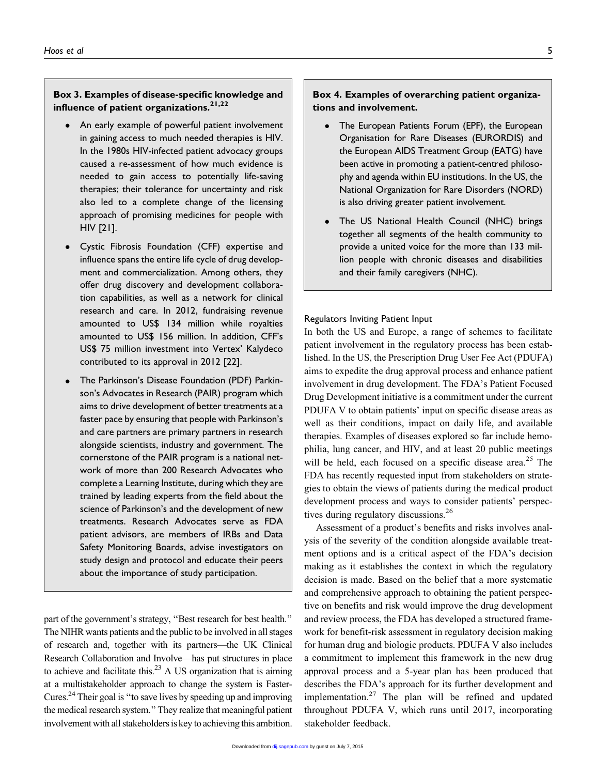# Box 3. Examples of disease-specific knowledge and influence of patient organizations.  $21,22$

- An early example of powerful patient involvement in gaining access to much needed therapies is HIV. In the 1980s HIV-infected patient advocacy groups caused a re-assessment of how much evidence is needed to gain access to potentially life-saving therapies; their tolerance for uncertainty and risk also led to a complete change of the licensing approach of promising medicines for people with HIV [21].
- Cystic Fibrosis Foundation (CFF) expertise and influence spans the entire life cycle of drug development and commercialization. Among others, they offer drug discovery and development collaboration capabilities, as well as a network for clinical research and care. In 2012, fundraising revenue amounted to US\$ 134 million while royalties amounted to US\$ 156 million. In addition, CFF's US\$ 75 million investment into Vertex' Kalydeco contributed to its approval in 2012 [22].
- $\bullet$  The Parkinson's Disease Foundation (PDF) Parkinson's Advocates in Research (PAIR) program which aims to drive development of better treatments at a faster pace by ensuring that people with Parkinson's and care partners are primary partners in research alongside scientists, industry and government. The cornerstone of the PAIR program is a national network of more than 200 Research Advocates who complete a Learning Institute, during which they are trained by leading experts from the field about the science of Parkinson's and the development of new treatments. Research Advocates serve as FDA patient advisors, are members of IRBs and Data Safety Monitoring Boards, advise investigators on study design and protocol and educate their peers about the importance of study participation.

part of the government's strategy, ''Best research for best health.'' The NIHR wants patients and the public to be involved in all stages of research and, together with its partners—the UK Clinical Research Collaboration and Involve—has put structures in place to achieve and facilitate this.<sup>23</sup> A US organization that is aiming at a multistakeholder approach to change the system is Faster-Cures.24 Their goal is ''to save lives by speeding up and improving the medical research system.'' They realize that meaningful patient involvement with all stakeholders is key to achieving this ambition.

# Box 4. Examples of overarching patient organizations and involvement.

- The European Patients Forum (EPF), the European Organisation for Rare Diseases (EURORDIS) and the European AIDS Treatment Group (EATG) have been active in promoting a patient-centred philosophy and agenda within EU institutions. In the US, the National Organization for Rare Disorders (NORD) is also driving greater patient involvement.
- $\bullet$  The US National Health Council (NHC) brings together all segments of the health community to provide a united voice for the more than 133 million people with chronic diseases and disabilities and their family caregivers (NHC).

# Regulators Inviting Patient Input

In both the US and Europe, a range of schemes to facilitate patient involvement in the regulatory process has been established. In the US, the Prescription Drug User Fee Act (PDUFA) aims to expedite the drug approval process and enhance patient involvement in drug development. The FDA's Patient Focused Drug Development initiative is a commitment under the current PDUFA V to obtain patients' input on specific disease areas as well as their conditions, impact on daily life, and available therapies. Examples of diseases explored so far include hemophilia, lung cancer, and HIV, and at least 20 public meetings will be held, each focused on a specific disease area.<sup>25</sup> The FDA has recently requested input from stakeholders on strategies to obtain the views of patients during the medical product development process and ways to consider patients' perspectives during regulatory discussions.<sup>26</sup>

Assessment of a product's benefits and risks involves analysis of the severity of the condition alongside available treatment options and is a critical aspect of the FDA's decision making as it establishes the context in which the regulatory decision is made. Based on the belief that a more systematic and comprehensive approach to obtaining the patient perspective on benefits and risk would improve the drug development and review process, the FDA has developed a structured framework for benefit-risk assessment in regulatory decision making for human drug and biologic products. PDUFA V also includes a commitment to implement this framework in the new drug approval process and a 5-year plan has been produced that describes the FDA's approach for its further development and implementation. $27$  The plan will be refined and updated throughout PDUFA V, which runs until 2017, incorporating stakeholder feedback.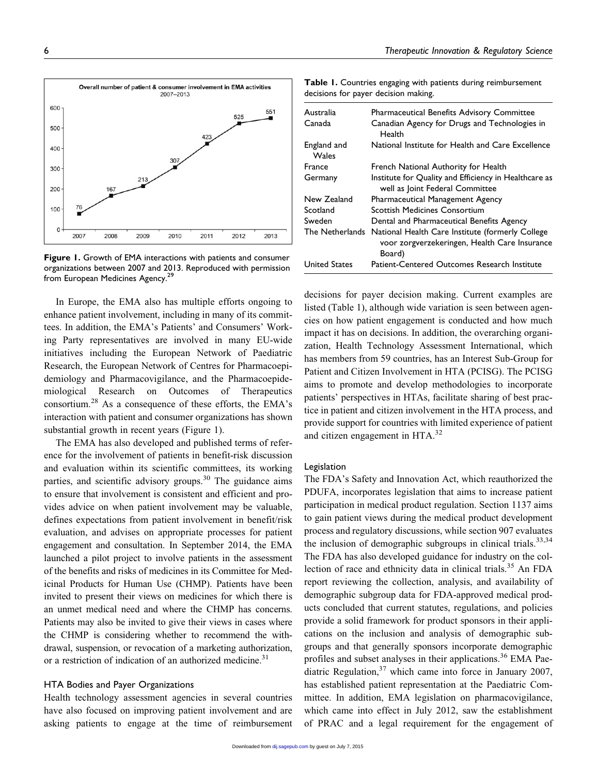

Figure 1. Growth of EMA interactions with patients and consumer organizations between 2007 and 2013. Reproduced with permission from European Medicines Agency.<sup>29</sup>

In Europe, the EMA also has multiple efforts ongoing to enhance patient involvement, including in many of its committees. In addition, the EMA's Patients' and Consumers' Working Party representatives are involved in many EU-wide initiatives including the European Network of Paediatric Research, the European Network of Centres for Pharmacoepidemiology and Pharmacovigilance, and the Pharmacoepidemiological Research on Outcomes of Therapeutics consortium.<sup>28</sup> As a consequence of these efforts, the EMA's interaction with patient and consumer organizations has shown substantial growth in recent years (Figure 1).

The EMA has also developed and published terms of reference for the involvement of patients in benefit-risk discussion and evaluation within its scientific committees, its working parties, and scientific advisory groups.<sup>30</sup> The guidance aims to ensure that involvement is consistent and efficient and provides advice on when patient involvement may be valuable, defines expectations from patient involvement in benefit/risk evaluation, and advises on appropriate processes for patient engagement and consultation. In September 2014, the EMA launched a pilot project to involve patients in the assessment of the benefits and risks of medicines in its Committee for Medicinal Products for Human Use (CHMP). Patients have been invited to present their views on medicines for which there is an unmet medical need and where the CHMP has concerns. Patients may also be invited to give their views in cases where the CHMP is considering whether to recommend the withdrawal, suspension, or revocation of a marketing authorization, or a restriction of indication of an authorized medicine.<sup>31</sup>

## HTA Bodies and Payer Organizations

Health technology assessment agencies in several countries have also focused on improving patient involvement and are asking patients to engage at the time of reimbursement

Table 1. Countries engaging with patients during reimbursement decisions for payer decision making.

| Australia            | <b>Pharmaceutical Benefits Advisory Committee</b>                                                           |
|----------------------|-------------------------------------------------------------------------------------------------------------|
| Canada               | Canadian Agency for Drugs and Technologies in<br>Health                                                     |
| England and<br>Wales | National Institute for Health and Care Excellence                                                           |
| France               | French National Authority for Health                                                                        |
| Germany              | Institute for Quality and Efficiency in Healthcare as<br>well as Joint Federal Committee                    |
| New Zealand          | Pharmaceutical Management Agency                                                                            |
| Scotland             | <b>Scottish Medicines Consortium</b>                                                                        |
| Sweden               | Dental and Pharmaceutical Benefits Agency                                                                   |
| The Netherlands      | National Health Care Institute (formerly College<br>voor zorgverzekeringen, Health Care Insurance<br>Board) |
| <b>United States</b> | Patient-Centered Outcomes Research Institute                                                                |
|                      |                                                                                                             |

decisions for payer decision making. Current examples are listed (Table 1), although wide variation is seen between agencies on how patient engagement is conducted and how much impact it has on decisions. In addition, the overarching organization, Health Technology Assessment International, which has members from 59 countries, has an Interest Sub-Group for Patient and Citizen Involvement in HTA (PCISG). The PCISG aims to promote and develop methodologies to incorporate patients' perspectives in HTAs, facilitate sharing of best practice in patient and citizen involvement in the HTA process, and provide support for countries with limited experience of patient and citizen engagement in HTA.<sup>32</sup>

#### Legislation

The FDA's Safety and Innovation Act, which reauthorized the PDUFA, incorporates legislation that aims to increase patient participation in medical product regulation. Section 1137 aims to gain patient views during the medical product development process and regulatory discussions, while section 907 evaluates the inclusion of demographic subgroups in clinical trials. $33,34$ The FDA has also developed guidance for industry on the collection of race and ethnicity data in clinical trials.<sup>35</sup> An FDA report reviewing the collection, analysis, and availability of demographic subgroup data for FDA-approved medical products concluded that current statutes, regulations, and policies provide a solid framework for product sponsors in their applications on the inclusion and analysis of demographic subgroups and that generally sponsors incorporate demographic profiles and subset analyses in their applications.<sup>36</sup> EMA Paediatric Regulation, $37$  which came into force in January 2007, has established patient representation at the Paediatric Committee. In addition, EMA legislation on pharmacovigilance, which came into effect in July 2012, saw the establishment of PRAC and a legal requirement for the engagement of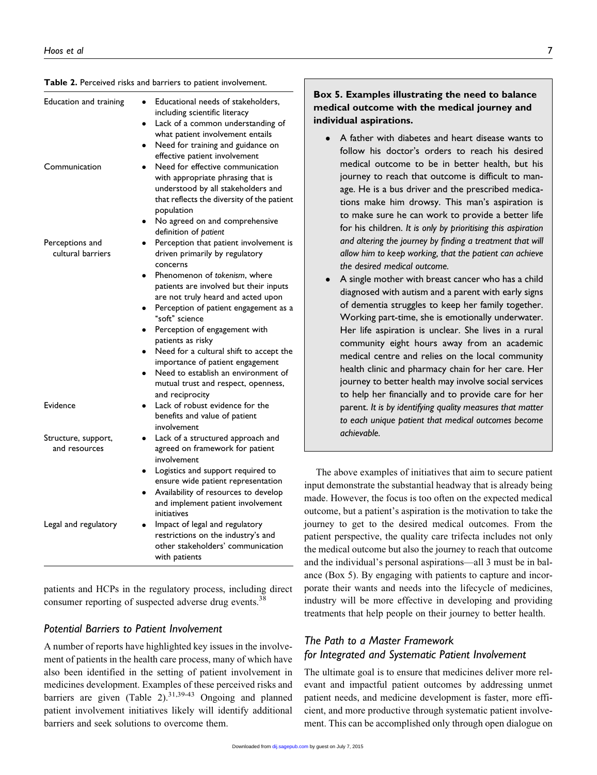| Education and training               | Educational needs of stakeholders,<br>including scientific literacy<br>Lack of a common understanding of<br>$\bullet$<br>what patient involvement entails<br>Need for training and guidance on<br>effective patient involvement    |
|--------------------------------------|------------------------------------------------------------------------------------------------------------------------------------------------------------------------------------------------------------------------------------|
| Communication                        | Need for effective communication<br>with appropriate phrasing that is<br>understood by all stakeholders and<br>that reflects the diversity of the patient<br>population<br>No agreed on and comprehensive<br>definition of patient |
| Perceptions and<br>cultural barriers | Perception that patient involvement is<br>driven primarily by regulatory<br>concerns                                                                                                                                               |
|                                      | Phenomenon of tokenism, where<br>patients are involved but their inputs<br>are not truly heard and acted upon<br>Perception of patient engagement as a<br>"soft" science                                                           |
|                                      | Perception of engagement with<br>patients as risky                                                                                                                                                                                 |
|                                      | Need for a cultural shift to accept the<br>importance of patient engagement<br>Need to establish an environment of<br>mutual trust and respect, openness,<br>and reciprocity                                                       |
| Evidence                             | Lack of robust evidence for the<br>benefits and value of patient<br>involvement                                                                                                                                                    |
| Structure, support,<br>and resources | Lack of a structured approach and<br>agreed on framework for patient<br>involvement                                                                                                                                                |
|                                      | Logistics and support required to<br>ensure wide patient representation<br>Availability of resources to develop<br>and implement patient involvement<br>initiatives                                                                |
| Legal and regulatory                 | Impact of legal and regulatory<br>restrictions on the industry's and<br>other stakeholders' communication<br>with patients                                                                                                         |

#### Table 2. Perceived risks and barriers to patient involvement.

patients and HCPs in the regulatory process, including direct consumer reporting of suspected adverse drug events.<sup>38</sup>

# Potential Barriers to Patient Involvement

A number of reports have highlighted key issues in the involvement of patients in the health care process, many of which have also been identified in the setting of patient involvement in medicines development. Examples of these perceived risks and barriers are given (Table 2).  $31,39-43$  Ongoing and planned patient involvement initiatives likely will identify additional barriers and seek solutions to overcome them.

# Box 5. Examples illustrating the need to balance medical outcome with the medical journey and individual aspirations.

- A father with diabetes and heart disease wants to follow his doctor's orders to reach his desired medical outcome to be in better health, but his journey to reach that outcome is difficult to manage. He is a bus driver and the prescribed medications make him drowsy. This man's aspiration is to make sure he can work to provide a better life for his children. It is only by prioritising this aspiration and altering the journey by finding a treatment that will allow him to keep working, that the patient can achieve the desired medical outcome.
- $\bullet$  A single mother with breast cancer who has a child diagnosed with autism and a parent with early signs of dementia struggles to keep her family together. Working part-time, she is emotionally underwater. Her life aspiration is unclear. She lives in a rural community eight hours away from an academic medical centre and relies on the local community health clinic and pharmacy chain for her care. Her journey to better health may involve social services to help her financially and to provide care for her parent. It is by identifying quality measures that matter to each unique patient that medical outcomes become achievable.

The above examples of initiatives that aim to secure patient input demonstrate the substantial headway that is already being made. However, the focus is too often on the expected medical outcome, but a patient's aspiration is the motivation to take the journey to get to the desired medical outcomes. From the patient perspective, the quality care trifecta includes not only the medical outcome but also the journey to reach that outcome and the individual's personal aspirations—all 3 must be in balance (Box 5). By engaging with patients to capture and incorporate their wants and needs into the lifecycle of medicines, industry will be more effective in developing and providing treatments that help people on their journey to better health.

# The Path to a Master Framework for Integrated and Systematic Patient Involvement

The ultimate goal is to ensure that medicines deliver more relevant and impactful patient outcomes by addressing unmet patient needs, and medicine development is faster, more efficient, and more productive through systematic patient involvement. This can be accomplished only through open dialogue on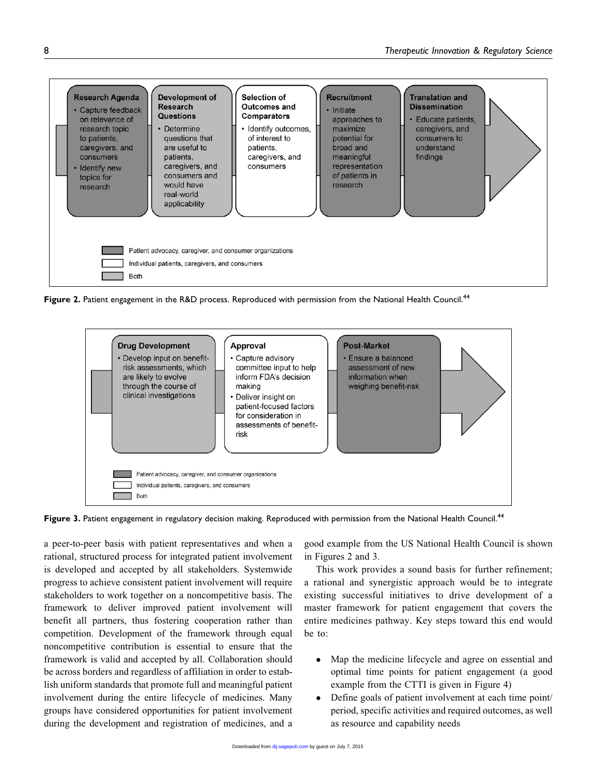

Figure 2. Patient engagement in the R&D process. Reproduced with permission from the National Health Council.<sup>44</sup>



Figure 3. Patient engagement in regulatory decision making. Reproduced with permission from the National Health Council.<sup>44</sup>

a peer-to-peer basis with patient representatives and when a rational, structured process for integrated patient involvement is developed and accepted by all stakeholders. Systemwide progress to achieve consistent patient involvement will require stakeholders to work together on a noncompetitive basis. The framework to deliver improved patient involvement will benefit all partners, thus fostering cooperation rather than competition. Development of the framework through equal noncompetitive contribution is essential to ensure that the framework is valid and accepted by all. Collaboration should be across borders and regardless of affiliation in order to establish uniform standards that promote full and meaningful patient involvement during the entire lifecycle of medicines. Many groups have considered opportunities for patient involvement during the development and registration of medicines, and a

good example from the US National Health Council is shown in Figures 2 and 3.

This work provides a sound basis for further refinement; a rational and synergistic approach would be to integrate existing successful initiatives to drive development of a master framework for patient engagement that covers the entire medicines pathway. Key steps toward this end would be to:

- $\bullet$  Map the medicine lifecycle and agree on essential and optimal time points for patient engagement (a good example from the CTTI is given in Figure 4)
- $\bullet$  Define goals of patient involvement at each time point/ period, specific activities and required outcomes, as well as resource and capability needs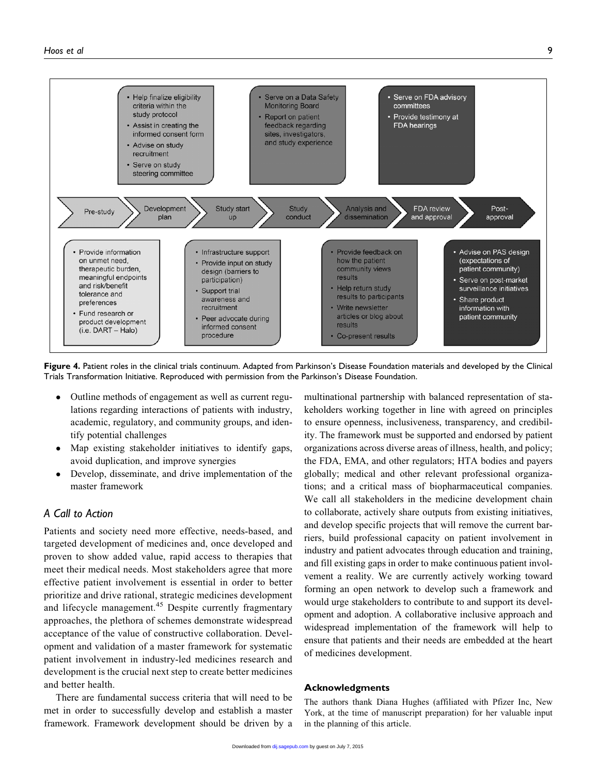

Figure 4. Patient roles in the clinical trials continuum. Adapted from Parkinson's Disease Foundation materials and developed by the Clinical Trials Transformation Initiative. Reproduced with permission from the Parkinson's Disease Foundation.

- $\bullet$  Outline methods of engagement as well as current regulations regarding interactions of patients with industry, academic, regulatory, and community groups, and identify potential challenges
- Map existing stakeholder initiatives to identify gaps, avoid duplication, and improve synergies
- $\bullet$  Develop, disseminate, and drive implementation of the master framework

# A Call to Action

Patients and society need more effective, needs-based, and targeted development of medicines and, once developed and proven to show added value, rapid access to therapies that meet their medical needs. Most stakeholders agree that more effective patient involvement is essential in order to better prioritize and drive rational, strategic medicines development and lifecycle management.<sup>45</sup> Despite currently fragmentary approaches, the plethora of schemes demonstrate widespread acceptance of the value of constructive collaboration. Development and validation of a master framework for systematic patient involvement in industry-led medicines research and development is the crucial next step to create better medicines and better health.

There are fundamental success criteria that will need to be met in order to successfully develop and establish a master framework. Framework development should be driven by a

multinational partnership with balanced representation of stakeholders working together in line with agreed on principles to ensure openness, inclusiveness, transparency, and credibility. The framework must be supported and endorsed by patient organizations across diverse areas of illness, health, and policy; the FDA, EMA, and other regulators; HTA bodies and payers globally; medical and other relevant professional organizations; and a critical mass of biopharmaceutical companies. We call all stakeholders in the medicine development chain to collaborate, actively share outputs from existing initiatives, and develop specific projects that will remove the current barriers, build professional capacity on patient involvement in industry and patient advocates through education and training, and fill existing gaps in order to make continuous patient involvement a reality. We are currently actively working toward forming an open network to develop such a framework and would urge stakeholders to contribute to and support its development and adoption. A collaborative inclusive approach and widespread implementation of the framework will help to ensure that patients and their needs are embedded at the heart of medicines development.

## Acknowledgments

The authors thank Diana Hughes (affiliated with Pfizer Inc, New York, at the time of manuscript preparation) for her valuable input in the planning of this article.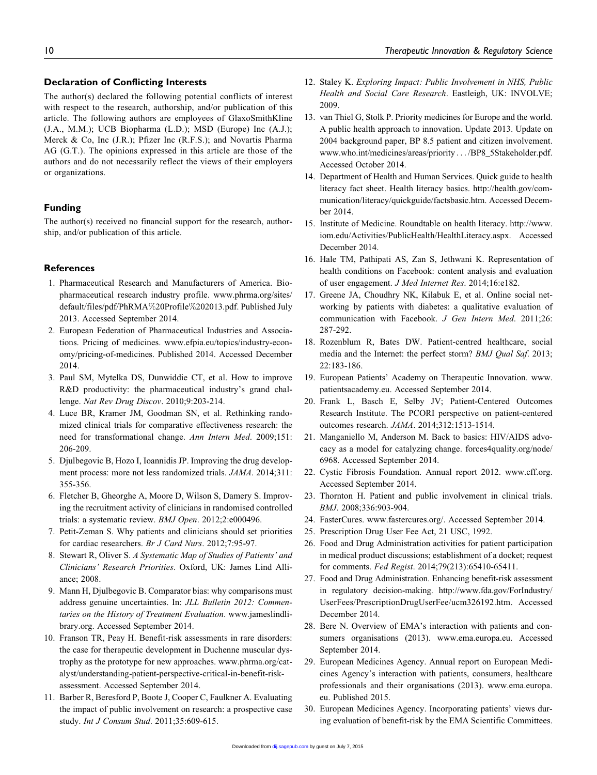## Declaration of Conflicting Interests

The author(s) declared the following potential conflicts of interest with respect to the research, authorship, and/or publication of this article. The following authors are employees of GlaxoSmithKline (J.A., M.M.); UCB Biopharma (L.D.); MSD (Europe) Inc (A.J.); Merck & Co, Inc (J.R.); Pfizer Inc (R.F.S.); and Novartis Pharma AG (G.T.). The opinions expressed in this article are those of the authors and do not necessarily reflect the views of their employers or organizations.

## Funding

The author(s) received no financial support for the research, authorship, and/or publication of this article.

## **References**

- 1. Pharmaceutical Research and Manufacturers of America. Biopharmaceutical research industry profile. [www.phrma.org/sites/](http://www.phrma.org/sites/default/files/pdf/PhRMA%20Profile%202013.pdf) [default/files/pdf/PhRMA](http://www.phrma.org/sites/default/files/pdf/PhRMA%20Profile%202013.pdf)%[20Profile](http://www.phrma.org/sites/default/files/pdf/PhRMA%20Profile%202013.pdf)%[202013.pdf](http://www.phrma.org/sites/default/files/pdf/PhRMA%20Profile%202013.pdf). Published July 2013. Accessed September 2014.
- 2. European Federation of Pharmaceutical Industries and Associations. Pricing of medicines. [www.efpia.eu/topics/industry-econ](http://www.efpia.eu/topics/industry-economy/pricing-of-medicines)[omy/pricing-of-medicines](http://www.efpia.eu/topics/industry-economy/pricing-of-medicines). Published 2014. Accessed December 2014.
- 3. Paul SM, Mytelka DS, Dunwiddie CT, et al. How to improve R&D productivity: the pharmaceutical industry's grand challenge. Nat Rev Drug Discov. 2010;9:203-214.
- 4. Luce BR, Kramer JM, Goodman SN, et al. Rethinking randomized clinical trials for comparative effectiveness research: the need for transformational change. Ann Intern Med. 2009;151: 206-209.
- 5. Djulbegovic B, Hozo I, Ioannidis JP. Improving the drug development process: more not less randomized trials. JAMA. 2014;311: 355-356.
- 6. Fletcher B, Gheorghe A, Moore D, Wilson S, Damery S. Improving the recruitment activity of clinicians in randomised controlled trials: a systematic review. BMJ Open. 2012;2:e000496.
- 7. Petit-Zeman S. Why patients and clinicians should set priorities for cardiac researchers. Br J Card Nurs. 2012;7:95-97.
- 8. Stewart R, Oliver S. A Systematic Map of Studies of Patients' and Clinicians' Research Priorities. Oxford, UK: James Lind Alliance; 2008.
- 9. Mann H, Djulbegovic B. Comparator bias: why comparisons must address genuine uncertainties. In: JLL Bulletin 2012: Commentaries on the History of Treatment Evaluation. [www.jameslindli](http://www.jameslindlibrary.org)[brary.org](http://www.jameslindlibrary.org). Accessed September 2014.
- 10. Franson TR, Peay H. Benefit-risk assessments in rare disorders: the case for therapeutic development in Duchenne muscular dystrophy as the prototype for new approaches. [www.phrma.org/cat](http://www.phrma.org/catalyst/understanding-patient-perspective-critical-in-benefit-risk-assessment)[alyst/understanding-patient-perspective-critical-in-benefit-risk](http://www.phrma.org/catalyst/understanding-patient-perspective-critical-in-benefit-risk-assessment)[assessment.](http://www.phrma.org/catalyst/understanding-patient-perspective-critical-in-benefit-risk-assessment) Accessed September 2014.
- 11. Barber R, Beresford P, Boote J, Cooper C, Faulkner A. Evaluating the impact of public involvement on research: a prospective case study. Int J Consum Stud. 2011;35:609-615.
- 12. Staley K. Exploring Impact: Public Involvement in NHS, Public Health and Social Care Research. Eastleigh, UK: INVOLVE; 2009.
- 13. van Thiel G, Stolk P. Priority medicines for Europe and the world. A public health approach to innovation. Update 2013. Update on 2004 background paper, BP 8.5 patient and citizen involvement. [www.who.int/medicines/areas/priority](http://www.who.int/medicines/areas/priority…/BP8_5Stakeholder.pdf) ... [/BP8\\_5Stakeholder.pdf](http://www.who.int/medicines/areas/priority…/BP8_5Stakeholder.pdf). Accessed October 2014.
- 14. Department of Health and Human Services. Quick guide to health literacy fact sheet. Health literacy basics. [http://health.gov/com](http://health.gov/communication/literacy/quickguide/factsbasic.htm)[munication/literacy/quickguide/factsbasic.htm.](http://health.gov/communication/literacy/quickguide/factsbasic.htm) Accessed December 2014.
- 15. Institute of Medicine. Roundtable on health literacy. [http://www.](http://www.iom.edu/Activities/PublicHealth/HealthLiteracy.aspx) [iom.edu/Activities/PublicHealth/HealthLiteracy.aspx.](http://www.iom.edu/Activities/PublicHealth/HealthLiteracy.aspx) Accessed December 2014.
- 16. Hale TM, Pathipati AS, Zan S, Jethwani K. Representation of health conditions on Facebook: content analysis and evaluation of user engagement. J Med Internet Res. 2014;16:e182.
- 17. Greene JA, Choudhry NK, Kilabuk E, et al. Online social networking by patients with diabetes: a qualitative evaluation of communication with Facebook. J Gen Intern Med. 2011;26: 287-292.
- 18. Rozenblum R, Bates DW. Patient-centred healthcare, social media and the Internet: the perfect storm? BMJ Qual Saf. 2013; 22:183-186.
- 19. European Patients' Academy on Therapeutic Innovation. [www.](http://www.patientsacademy.eu) [patientsacademy.eu.](http://www.patientsacademy.eu) Accessed September 2014.
- 20. Frank L, Basch E, Selby JV; Patient-Centered Outcomes Research Institute. The PCORI perspective on patient-centered outcomes research. JAMA. 2014;312:1513-1514.
- 21. Manganiello M, Anderson M. Back to basics: HIV/AIDS advocacy as a model for catalyzing change. [forces4quality.org/node/](http://forces4quality.org/node/6968) [6968](http://forces4quality.org/node/6968). Accessed September 2014.
- 22. Cystic Fibrosis Foundation. Annual report 2012. [www.cff.org](http://www.cff.org). Accessed September 2014.
- 23. Thornton H. Patient and public involvement in clinical trials. BMJ. 2008;336:903-904.
- 24. FasterCures. [www.fastercures.org/](http://www.fastercures.org/). Accessed September 2014.
- 25. Prescription Drug User Fee Act, 21 USC, 1992.
- 26. Food and Drug Administration activities for patient participation in medical product discussions; establishment of a docket; request for comments. Fed Regist. 2014;79(213):65410-65411.
- 27. Food and Drug Administration. Enhancing benefit-risk assessment in regulatory decision-making. [http://www.fda.gov/ForIndustry/](http://www.fda.gov/ForIndustry/UserFees/PrescriptionDrugUserFee/ucm326192.htm) [UserFees/PrescriptionDrugUserFee/ucm326192.htm](http://www.fda.gov/ForIndustry/UserFees/PrescriptionDrugUserFee/ucm326192.htm). Accessed December 2014.
- 28. Bere N. Overview of EMA's interaction with patients and consumers organisations (2013). [www.ema.europa.eu.](http://www.ema.europa.eu) Accessed September 2014.
- 29. European Medicines Agency. Annual report on European Medicines Agency's interaction with patients, consumers, healthcare professionals and their organisations (2013). [www.ema.europa.](http://www.ema.europa.eu) [eu.](http://www.ema.europa.eu) Published 2015.
- 30. European Medicines Agency. Incorporating patients' views during evaluation of benefit-risk by the EMA Scientific Committees.